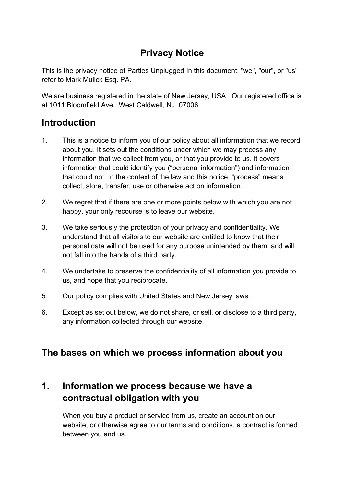# **Privacy Notice**

This is the privacy notice of Parties Unplugged In this document, "we", "our", or "us" refer to Mark Mulick Esq. PA.

We are business registered in the state of New Jersey, USA. Our registered office is at 1011 Bloomfield Ave., West Caldwell, NJ, 07006.

## **Introduction**

- 1. This is a notice to inform you of our policy about all information that we record about you. It sets out the conditions under which we may process any information that we collect from you, or that you provide to us. It covers information that could identify you ("personal information") and information that could not. In the context of the law and this notice, "process" means collect, store, transfer, use or otherwise act on information.
- 2. We regret that if there are one or more points below with which you are not happy, your only recourse is to leave our website.
- 3. We take seriously the protection of your privacy and confidentiality. We understand that all visitors to our website are entitled to know that their personal data will not be used for any purpose unintended by them, and will not fall into the hands of a third party.
- 4. We undertake to preserve the confidentiality of all information you provide to us, and hope that you reciprocate.
- 5. Our policy complies with United States and New Jersey laws.
- 6. Except as set out below, we do not share, or sell, or disclose to a third party, any information collected through our website.

## **The bases on which we process information about you**

# **1. Information we process because we have a contractual obligation with you**

When you buy a product or service from us, create an account on our website, or otherwise agree to our terms and conditions, a contract is formed between you and us.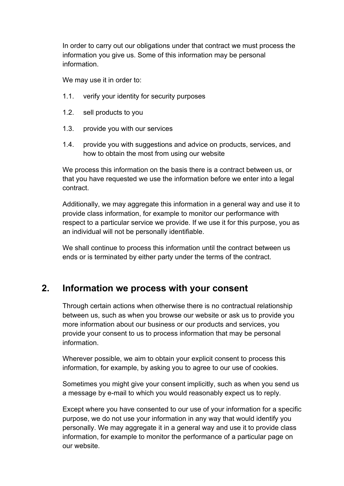In order to carry out our obligations under that contract we must process the information you give us. Some of this information may be personal information.

We may use it in order to:

- 1.1. verify your identity for security purposes
- 1.2. sell products to you
- 1.3. provide you with our services
- 1.4. provide you with suggestions and advice on products, services, and how to obtain the most from using our website

We process this information on the basis there is a contract between us, or that you have requested we use the information before we enter into a legal contract.

Additionally, we may aggregate this information in a general way and use it to provide class information, for example to monitor our performance with respect to a particular service we provide. If we use it for this purpose, you as an individual will not be personally identifiable.

We shall continue to process this information until the contract between us ends or is terminated by either party under the terms of the contract.

### **2. Information we process with your consent**

Through certain actions when otherwise there is no contractual relationship between us, such as when you browse our website or ask us to provide you more information about our business or our products and services, you provide your consent to us to process information that may be personal information.

Wherever possible, we aim to obtain your explicit consent to process this information, for example, by asking you to agree to our use of cookies.

Sometimes you might give your consent implicitly, such as when you send us a message by e-mail to which you would reasonably expect us to reply.

Except where you have consented to our use of your information for a specific purpose, we do not use your information in any way that would identify you personally. We may aggregate it in a general way and use it to provide class information, for example to monitor the performance of a particular page on our website.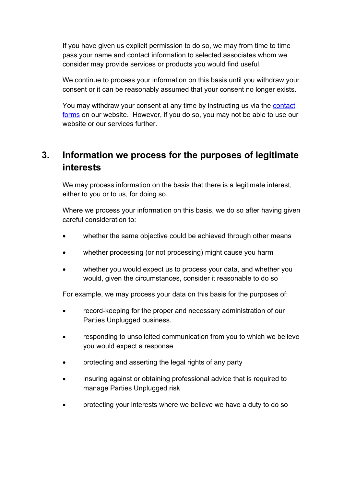If you have given us explicit permission to do so, we may from time to time pass your name and contact information to selected associates whom we consider may provide services or products you would find useful.

We continue to process your information on this basis until you withdraw your consent or it can be reasonably assumed that your consent no longer exists.

You may withdraw your consent at any time by instructing us via the contact forms on our website. However, if you do so, you may not be able to use our website or our services further.

# **3. Information we process for the purposes of legitimate interests**

We may process information on the basis that there is a legitimate interest, either to you or to us, for doing so.

Where we process your information on this basis, we do so after having given careful consideration to:

- whether the same objective could be achieved through other means
- whether processing (or not processing) might cause you harm
- whether you would expect us to process your data, and whether you would, given the circumstances, consider it reasonable to do so

For example, we may process your data on this basis for the purposes of:

- record-keeping for the proper and necessary administration of our Parties Unplugged business.
- responding to unsolicited communication from you to which we believe you would expect a response
- protecting and asserting the legal rights of any party
- insuring against or obtaining professional advice that is required to manage Parties Unplugged risk
- protecting your interests where we believe we have a duty to do so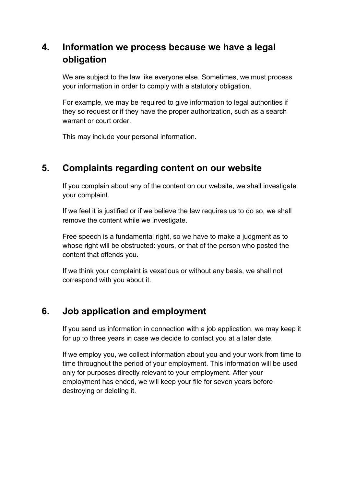# **4. Information we process because we have a legal obligation**

We are subject to the law like everyone else. Sometimes, we must process your information in order to comply with a statutory obligation.

For example, we may be required to give information to legal authorities if they so request or if they have the proper authorization, such as a search warrant or court order.

This may include your personal information.

## **5. Complaints regarding content on our website**

If you complain about any of the content on our website, we shall investigate your complaint.

If we feel it is justified or if we believe the law requires us to do so, we shall remove the content while we investigate.

Free speech is a fundamental right, so we have to make a judgment as to whose right will be obstructed: yours, or that of the person who posted the content that offends you.

If we think your complaint is vexatious or without any basis, we shall not correspond with you about it.

## **6. Job application and employment**

If you send us information in connection with a job application, we may keep it for up to three years in case we decide to contact you at a later date.

If we employ you, we collect information about you and your work from time to time throughout the period of your employment. This information will be used only for purposes directly relevant to your employment. After your employment has ended, we will keep your file for seven years before destroying or deleting it.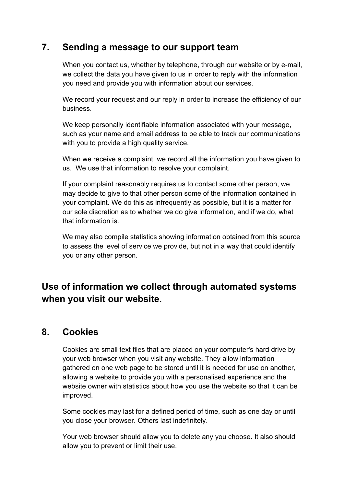## **7. Sending a message to our support team**

When you contact us, whether by telephone, through our website or by e-mail, we collect the data you have given to us in order to reply with the information you need and provide you with information about our services.

We record your request and our reply in order to increase the efficiency of our business.

We keep personally identifiable information associated with your message, such as your name and email address to be able to track our communications with you to provide a high quality service.

When we receive a complaint, we record all the information you have given to us. We use that information to resolve your complaint.

If your complaint reasonably requires us to contact some other person, we may decide to give to that other person some of the information contained in your complaint. We do this as infrequently as possible, but it is a matter for our sole discretion as to whether we do give information, and if we do, what that information is.

We may also compile statistics showing information obtained from this source to assess the level of service we provide, but not in a way that could identify you or any other person.

# **Use of information we collect through automated systems when you visit our website.**

#### **8. Cookies**

Cookies are small text files that are placed on your computer's hard drive by your web browser when you visit any website. They allow information gathered on one web page to be stored until it is needed for use on another, allowing a website to provide you with a personalised experience and the website owner with statistics about how you use the website so that it can be improved.

Some cookies may last for a defined period of time, such as one day or until you close your browser. Others last indefinitely.

Your web browser should allow you to delete any you choose. It also should allow you to prevent or limit their use.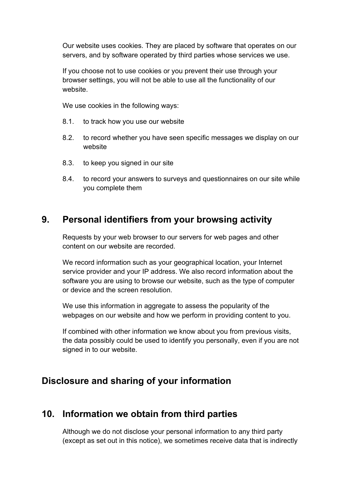Our website uses cookies. They are placed by software that operates on our servers, and by software operated by third parties whose services we use.

If you choose not to use cookies or you prevent their use through your browser settings, you will not be able to use all the functionality of our website.

We use cookies in the following ways:

- 8.1. to track how you use our website
- 8.2. to record whether you have seen specific messages we display on our website
- 8.3. to keep you signed in our site
- 8.4. to record your answers to surveys and questionnaires on our site while you complete them

### **9. Personal identifiers from your browsing activity**

Requests by your web browser to our servers for web pages and other content on our website are recorded.

We record information such as your geographical location, your Internet service provider and your IP address. We also record information about the software you are using to browse our website, such as the type of computer or device and the screen resolution.

We use this information in aggregate to assess the popularity of the webpages on our website and how we perform in providing content to you.

If combined with other information we know about you from previous visits, the data possibly could be used to identify you personally, even if you are not signed in to our website.

### **Disclosure and sharing of your information**

#### **10. Information we obtain from third parties**

Although we do not disclose your personal information to any third party (except as set out in this notice), we sometimes receive data that is indirectly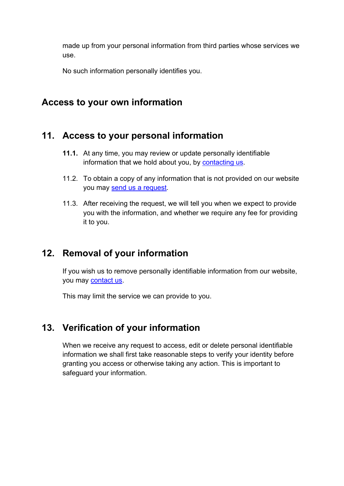made up from your personal information from third parties whose services we use.

No such information personally identifies you.

## **Access to your own information**

#### **11. Access to your personal information**

- **11.1.** At any time, you may review or update personally identifiable information that we hold about you, by contacting us.
- 11.2. To obtain a copy of any information that is not provided on our website you may send us a request.
- 11.3. After receiving the request, we will tell you when we expect to provide you with the information, and whether we require any fee for providing it to you.

## **12. Removal of your information**

If you wish us to remove personally identifiable information from our website, you may contact us.

This may limit the service we can provide to you.

## **13. Verification of your information**

When we receive any request to access, edit or delete personal identifiable information we shall first take reasonable steps to verify your identity before granting you access or otherwise taking any action. This is important to safeguard your information.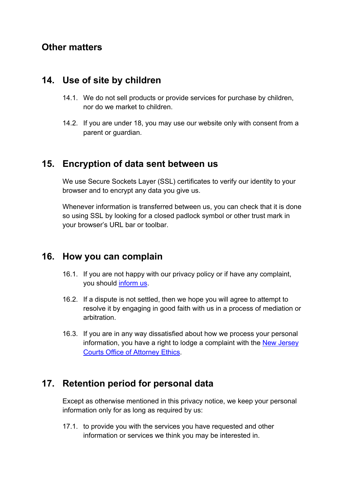#### **Other matters**

#### **14. Use of site by children**

- 14.1. We do not sell products or provide services for purchase by children, nor do we market to children.
- 14.2. If you are under 18, you may use our website only with consent from a parent or guardian.

#### **15. Encryption of data sent between us**

We use Secure Sockets Layer (SSL) certificates to verify our identity to your browser and to encrypt any data you give us.

Whenever information is transferred between us, you can check that it is done so using SSL by looking for a closed padlock symbol or other trust mark in your browser's URL bar or toolbar.

#### **16. How you can complain**

- 16.1. If you are not happy with our privacy policy or if have any complaint, you should inform us.
- 16.2. If a dispute is not settled, then we hope you will agree to attempt to resolve it by engaging in good faith with us in a process of mediation or arbitration.
- 16.3. If you are in any way dissatisfied about how we process your personal information, you have a right to lodge a complaint with the New Jersey Courts Office of Attorney Ethics.

### **17. Retention period for personal data**

Except as otherwise mentioned in this privacy notice, we keep your personal information only for as long as required by us:

17.1. to provide you with the services you have requested and other information or services we think you may be interested in.